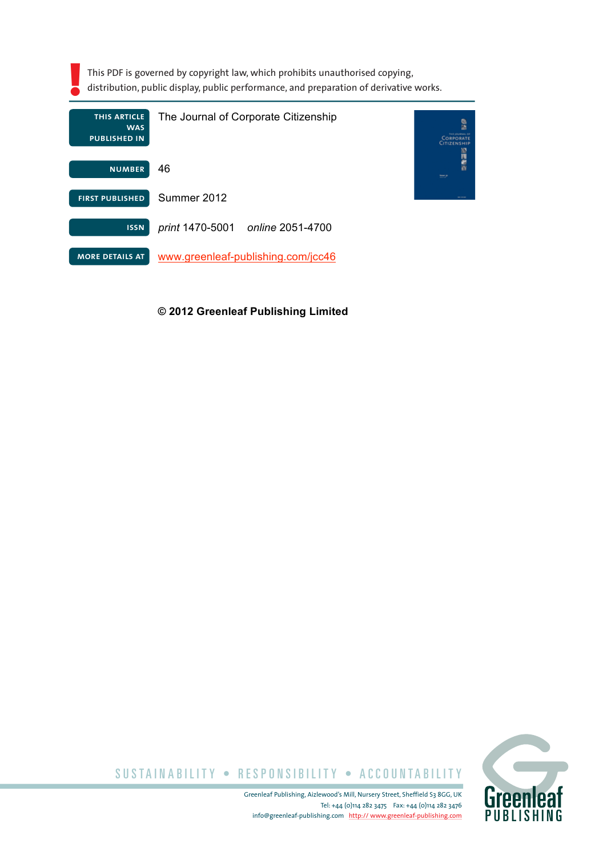| This PDF is governed by copyright law, which prohibits unauthorised copying,<br>distribution, public display, public performance, and preparation of derivative works. |                                            |        |
|------------------------------------------------------------------------------------------------------------------------------------------------------------------------|--------------------------------------------|--------|
| THIS ARTICLE<br><b>WAS</b><br><b>PUBLISHED IN</b>                                                                                                                      | The Journal of Corporate Citizenship       |        |
| <b>NUMBER</b>                                                                                                                                                          | 46                                         | hour y |
| <b>FIRST PUBLISHED</b>                                                                                                                                                 | Summer 2012                                |        |
| <b>ISSN</b>                                                                                                                                                            | <i>print</i> 1470-5001<br>online 2051-4700 |        |
| <b>MORE DETAILS AT</b>                                                                                                                                                 | www.greenleaf-publishing.com/jcc46         |        |

#### **© 2012 Greenleaf Publishing Limited**



SUSTAINABILITY • RESPONSIBILITY • ACCOUNTABILITY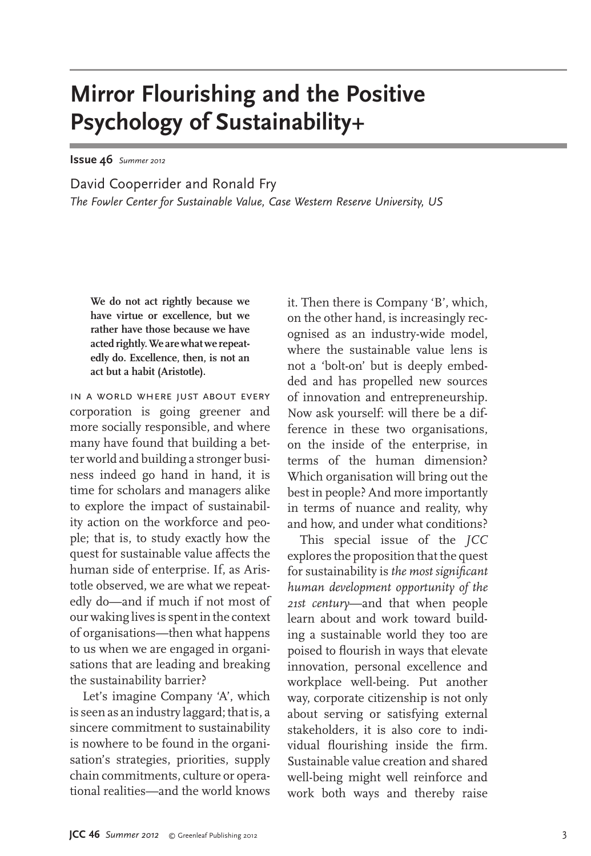# **Mirror Flourishing and the Positive Psychology of Sustainability+**

**Issue 46** Summer 2012

David Cooperrider and Ronald Fry *The Fowler Center for Sustainable Value, Case Western Reserve University, US*

**We do not act rightly because we have virtue or excellence, but we rather have those because we have acted rightly. We are what we repeatedly do. Excellence, then, is not an act but a habit (Aristotle).**

in a world where just about every corporation is going greener and more socially responsible, and where many have found that building a better world and building a stronger business indeed go hand in hand, it is time for scholars and managers alike to explore the impact of sustainability action on the workforce and people; that is, to study exactly how the quest for sustainable value affects the human side of enterprise. If, as Aristotle observed, we are what we repeatedly do—and if much if not most of our waking lives is spent in the context of organisations—then what happens to us when we are engaged in organisations that are leading and breaking the sustainability barrier?

Let's imagine Company 'A', which is seen as an industry laggard; that is, a sincere commitment to sustainability is nowhere to be found in the organisation's strategies, priorities, supply chain commitments, culture or operational realities—and the world knows it. Then there is Company 'B', which, on the other hand, is increasingly recognised as an industry-wide model, where the sustainable value lens is not a 'bolt-on' but is deeply embedded and has propelled new sources of innovation and entrepreneurship. Now ask yourself: will there be a difference in these two organisations, on the inside of the enterprise, in terms of the human dimension? Which organisation will bring out the best in people? And more importantly in terms of nuance and reality, why and how, and under what conditions?

This special issue of the *JCC* explores the proposition that the quest for sustainability is *the most significant human development opportunity of the 21st century*—and that when people learn about and work toward building a sustainable world they too are poised to flourish in ways that elevate innovation, personal excellence and workplace well-being. Put another way, corporate citizenship is not only about serving or satisfying external stakeholders, it is also core to individual flourishing inside the firm. Sustainable value creation and shared well-being might well reinforce and work both ways and thereby raise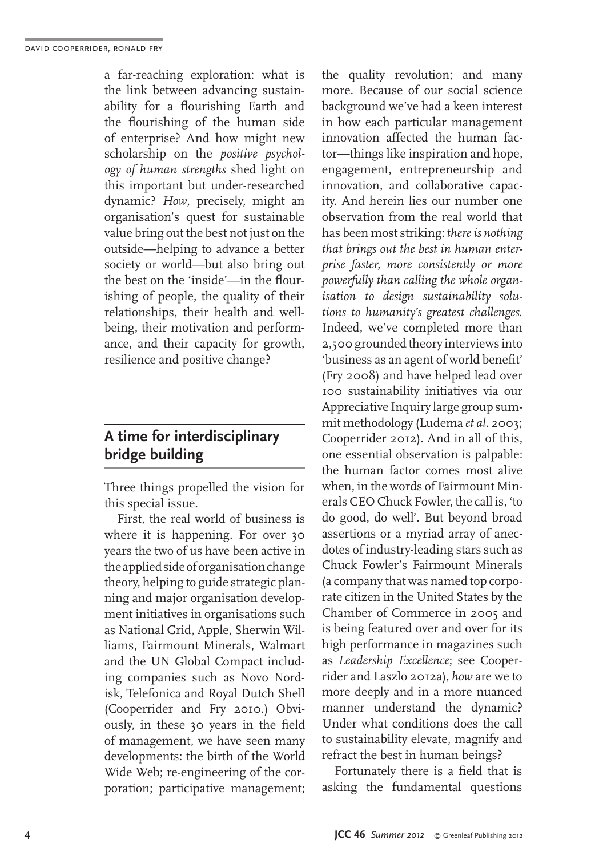a far-reaching exploration: what is the link between advancing sustainability for a flourishing Earth and the flourishing of the human side of enterprise? And how might new scholarship on the *positive psychology of human strengths* shed light on this important but under-researched dynamic? *How*, precisely, might an organisation's quest for sustainable value bring out the best not just on the outside—helping to advance a better society or world—but also bring out the best on the 'inside'—in the flourishing of people, the quality of their relationships, their health and wellbeing, their motivation and performance, and their capacity for growth, resilience and positive change?

#### **A time for interdisciplinary bridge building**

Three things propelled the vision for this special issue.

First, the real world of business is where it is happening. For over 30 years the two of us have been active in the applied side of organisation change theory, helping to guide strategic planning and major organisation development initiatives in organisations such as National Grid, Apple, Sherwin Williams, Fairmount Minerals, Walmart and the UN Global Compact including companies such as Novo Nordisk, Telefonica and Royal Dutch Shell (Cooperrider and Fry 2010.) Obviously, in these 30 years in the field of management, we have seen many developments: the birth of the World Wide Web; re-engineering of the corporation; participative management;

the quality revolution; and many more. Because of our social science background we've had a keen interest in how each particular management innovation affected the human factor—things like inspiration and hope, engagement, entrepreneurship and innovation, and collaborative capacity. And herein lies our number one observation from the real world that has been most striking: *there is nothing that brings out the best in human enterprise faster, more consistently or more powerfully than calling the whole organisation to design sustainability solutions to humanity's greatest challenges*. Indeed, we've completed more than 2,500 grounded theory interviews into 'business as an agent of world benefit' (Fry 2008) and have helped lead over 100 sustainability initiatives via our Appreciative Inquiry large group summit methodology (Ludema *et al*. 2003; Cooperrider 2012). And in all of this, one essential observation is palpable: the human factor comes most alive when, in the words of Fairmount Minerals CEO Chuck Fowler, the call is, 'to do good, do well'. But beyond broad assertions or a myriad array of anecdotes of industry-leading stars such as Chuck Fowler's Fairmount Minerals (a company that was named top corporate citizen in the United States by the Chamber of Commerce in 2005 and is being featured over and over for its high performance in magazines such as *Leadership Excellence*; see Cooperrider and Laszlo 2012a), *how* are we to more deeply and in a more nuanced manner understand the dynamic? Under what conditions does the call to sustainability elevate, magnify and refract the best in human beings?

Fortunately there is a field that is asking the fundamental questions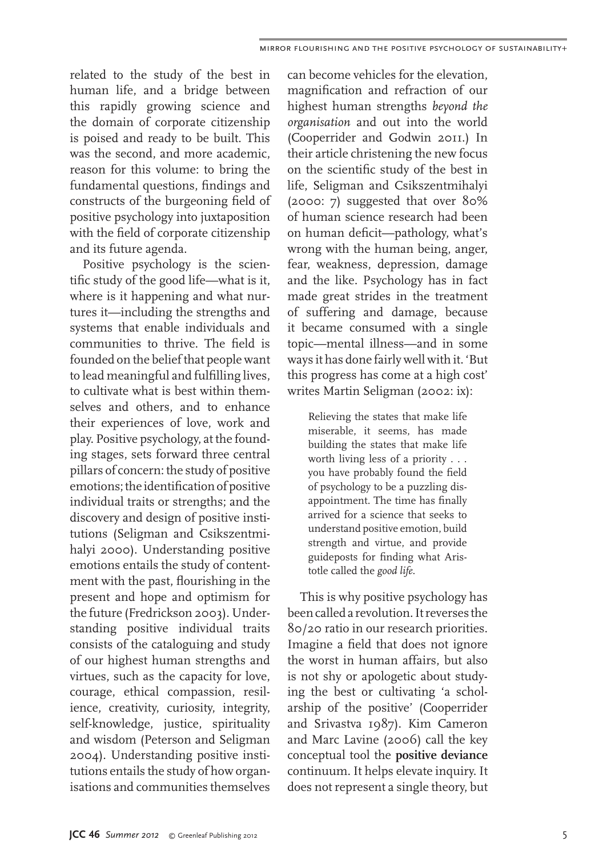related to the study of the best in human life, and a bridge between this rapidly growing science and the domain of corporate citizenship is poised and ready to be built. This was the second, and more academic, reason for this volume: to bring the fundamental questions, findings and constructs of the burgeoning field of positive psychology into juxtaposition with the field of corporate citizenship and its future agenda.

Positive psychology is the scientific study of the good life—what is it, where is it happening and what nurtures it—including the strengths and systems that enable individuals and communities to thrive. The field is founded on the belief that people want to lead meaningful and fulfilling lives, to cultivate what is best within themselves and others, and to enhance their experiences of love, work and play. Positive psychology, at the founding stages, sets forward three central pillars of concern: the study of positive emotions; the identification of positive individual traits or strengths; and the discovery and design of positive institutions (Seligman and Csikszentmihalyi 2000). Understanding positive emotions entails the study of contentment with the past, flourishing in the present and hope and optimism for the future (Fredrickson 2003). Understanding positive individual traits consists of the cataloguing and study of our highest human strengths and virtues, such as the capacity for love, courage, ethical compassion, resilience, creativity, curiosity, integrity, self-knowledge, justice, spirituality and wisdom (Peterson and Seligman 2004). Understanding positive institutions entails the study of how organisations and communities themselves

can become vehicles for the elevation, magnification and refraction of our highest human strengths *beyond the organisation* and out into the world (Cooperrider and Godwin 2011.) In their article christening the new focus on the scientific study of the best in life, Seligman and Csikszentmihalyi (2000: 7) suggested that over 80% of human science research had been on human deficit—pathology, what's wrong with the human being, anger, fear, weakness, depression, damage and the like. Psychology has in fact made great strides in the treatment of suffering and damage, because it became consumed with a single topic—mental illness—and in some ways it has done fairly well with it. 'But this progress has come at a high cost' writes Martin Seligman (2002: ix):

Relieving the states that make life miserable, it seems, has made building the states that make life worth living less of a priority . . . you have probably found the field of psychology to be a puzzling disappointment. The time has finally arrived for a science that seeks to understand positive emotion, build strength and virtue, and provide guideposts for finding what Aristotle called the *good life*.

This is why positive psychology has been called a revolution. It reverses the 80/20 ratio in our research priorities. Imagine a field that does not ignore the worst in human affairs, but also is not shy or apologetic about studying the best or cultivating 'a scholarship of the positive' (Cooperrider and Srivastva 1987). Kim Cameron and Marc Lavine (2006) call the key conceptual tool the **positive deviance** continuum. It helps elevate inquiry. It does not represent a single theory, but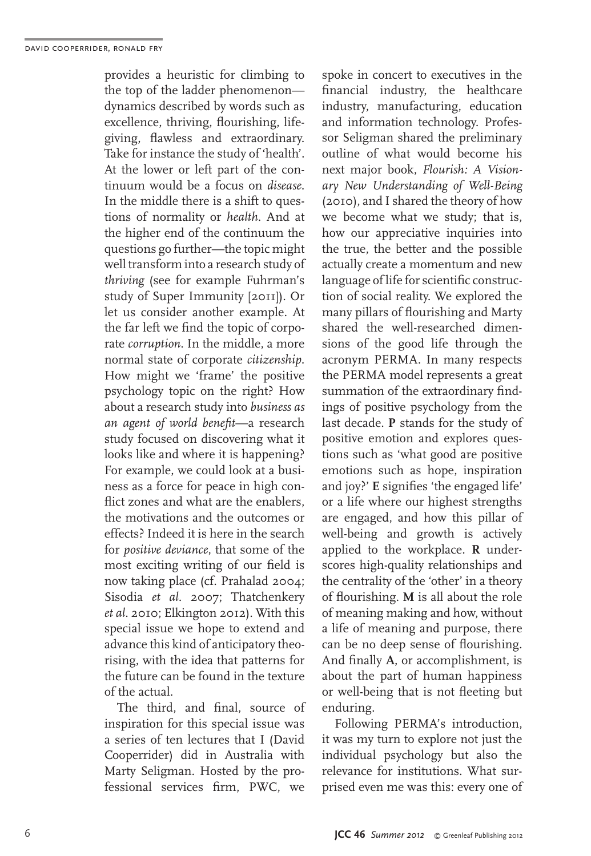provides a heuristic for climbing to the top of the ladder phenomenon dynamics described by words such as excellence, thriving, flourishing, lifegiving, flawless and extraordinary. Take for instance the study of 'health'. At the lower or left part of the continuum would be a focus on *disease*. In the middle there is a shift to questions of normality or *health*. And at the higher end of the continuum the questions go further—the topic might well transform into a research study of *thriving* (see for example Fuhrman's study of Super Immunity [2011]). Or let us consider another example. At the far left we find the topic of corporate *corruption*. In the middle, a more normal state of corporate *citizenship*. How might we 'frame' the positive psychology topic on the right? How about a research study into *business as an agent of world benefit*—a research study focused on discovering what it looks like and where it is happening? For example, we could look at a business as a force for peace in high conflict zones and what are the enablers. the motivations and the outcomes or effects? Indeed it is here in the search for *positive deviance*, that some of the most exciting writing of our field is now taking place (cf. Prahalad 2004; Sisodia *et al*. 2007; Thatchenkery *et al*. 2010; Elkington 2012). With this special issue we hope to extend and advance this kind of anticipatory theorising, with the idea that patterns for the future can be found in the texture of the actual.

The third, and final, source of inspiration for this special issue was a series of ten lectures that I (David Cooperrider) did in Australia with Marty Seligman. Hosted by the professional services firm, PWC, we

spoke in concert to executives in the financial industry, the healthcare industry, manufacturing, education and information technology. Professor Seligman shared the preliminary outline of what would become his next major book, *Flourish: A Visionary New Understanding of Well-Being*  (2010), and I shared the theory of how we become what we study; that is, how our appreciative inquiries into the true, the better and the possible actually create a momentum and new language of life for scientific construction of social reality. We explored the many pillars of flourishing and Marty shared the well-researched dimensions of the good life through the acronym PERMA. In many respects the PERMA model represents a great summation of the extraordinary findings of positive psychology from the last decade. **P** stands for the study of positive emotion and explores questions such as 'what good are positive emotions such as hope, inspiration and joy?' **E** signifies 'the engaged life' or a life where our highest strengths are engaged, and how this pillar of well-being and growth is actively applied to the workplace. **R** underscores high-quality relationships and the centrality of the 'other' in a theory of flourishing. **M** is all about the role of meaning making and how, without a life of meaning and purpose, there can be no deep sense of flourishing. And finally **A**, or accomplishment, is about the part of human happiness or well-being that is not fleeting but enduring.

Following PERMA's introduction, it was my turn to explore not just the individual psychology but also the relevance for institutions. What surprised even me was this: every one of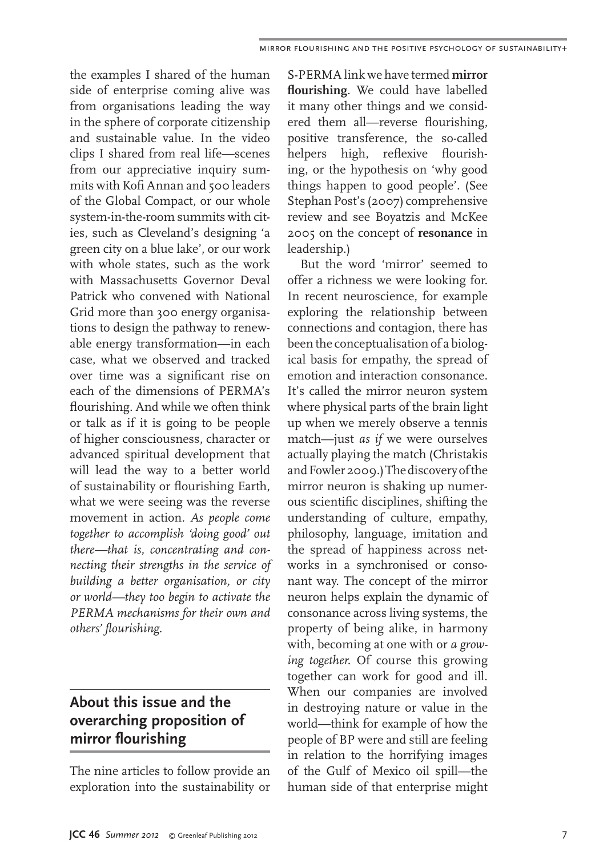the examples I shared of the human side of enterprise coming alive was from organisations leading the way in the sphere of corporate citizenship and sustainable value. In the video clips I shared from real life—scenes from our appreciative inquiry summits with Kofi Annan and 500 leaders of the Global Compact, or our whole system-in-the-room summits with cities, such as Cleveland's designing 'a green city on a blue lake', or our work with whole states, such as the work with Massachusetts Governor Deval Patrick who convened with National Grid more than 300 energy organisations to design the pathway to renewable energy transformation—in each case, what we observed and tracked over time was a significant rise on each of the dimensions of PERMA's flourishing. And while we often think or talk as if it is going to be people of higher consciousness, character or advanced spiritual development that will lead the way to a better world of sustainability or flourishing Earth, what we were seeing was the reverse movement in action*. As people come together to accomplish 'doing good' out there—that is, concentrating and connecting their strengths in the service of building a better organisation, or city or world—they too begin to activate the PERMA mechanisms for their own and others' flourishing.*

## About this issue and the **proposition** of **mirror** flourishing

The nine articles to follow provide an exploration into the sustainability or

S-PERMA link we have termed **mirror flourishing***.* We could have labelled it many other things and we considered them all—reverse flourishing, positive transference, the so-called helpers high, reflexive flourishing, or the hypothesis on 'why good things happen to good people'. (See Stephan Post's (2007) comprehensive review and see Boyatzis and McKee 2005 on the concept of **resonance** in leadership.)

But the word 'mirror' seemed to offer a richness we were looking for. In recent neuroscience, for example exploring the relationship between connections and contagion, there has been the conceptualisation of a biological basis for empathy, the spread of emotion and interaction consonance. It's called the mirror neuron system where physical parts of the brain light up when we merely observe a tennis match—just *as if* we were ourselves actually playing the match (Christakis and Fowler 2009.) The discovery of the mirror neuron is shaking up numerous scientific disciplines, shifting the understanding of culture, empathy, philosophy, language, imitation and the spread of happiness across networks in a synchronised or consonant way. The concept of the mirror neuron helps explain the dynamic of consonance across living systems, the property of being alike, in harmony with, becoming at one with or *a growing together.* Of course this growing together can work for good and ill. When our companies are involved in destroying nature or value in the world—think for example of how the people of BP were and still are feeling in relation to the horrifying images of the Gulf of Mexico oil spill—the human side of that enterprise might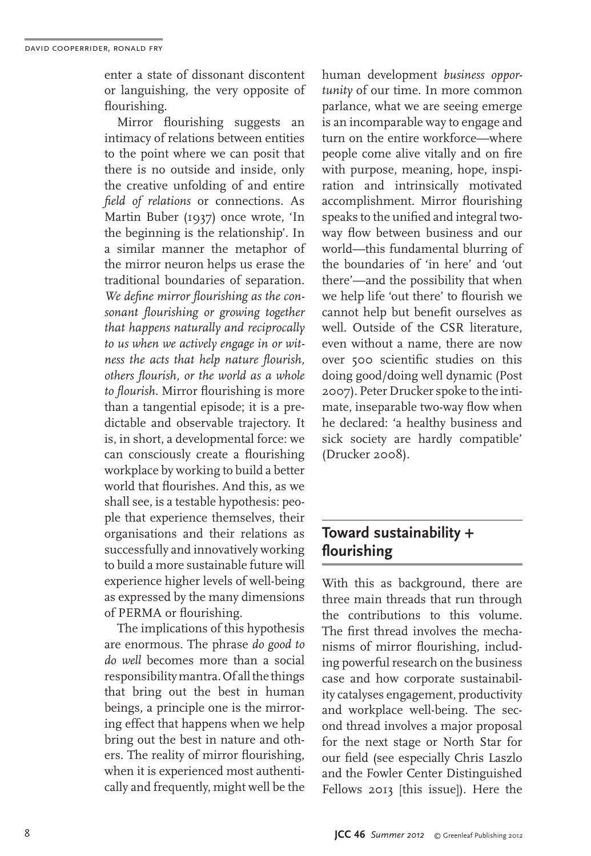enter a state of dissonant discontent or languishing, the very opposite of flourishing.

Mirror flourishing suggests an intimacy of relations between entities to the point where we can posit that there is no outside and inside, only the creative unfolding of and entire *field of relations* or connections. As Martin Buber (1937) once wrote, 'In the beginning is the relationship'. In a similar manner the metaphor of the mirror neuron helps us erase the traditional boundaries of separation. *We define mirror flourishing as the consonant flourishing or growing together that happens naturally and reciprocally to us when we actively engage in or witness the acts that help nature flourish, others flourish, or the world as a whole to flourish.* Mirror flourishing is more than a tangential episode; it is a predictable and observable trajectory. It is, in short, a developmental force: we can consciously create a flourishing workplace by working to build a better world that flourishes. And this, as we shall see, is a testable hypothesis: people that experience themselves, their organisations and their relations as successfully and innovatively working to build a more sustainable future will experience higher levels of well-being as expressed by the many dimensions of PERMA or flourishing.

The implications of this hypothesis are enormous. The phrase *do good to do well* becomes more than a social responsibility mantra. Of all the things that bring out the best in human beings, a principle one is the mirroring effect that happens when we help bring out the best in nature and others. The reality of mirror flourishing, when it is experienced most authentically and frequently, might well be the

human development *business opportunity* of our time. In more common parlance, what we are seeing emerge is an incomparable way to engage and turn on the entire workforce—where people come alive vitally and on fire with purpose, meaning, hope, inspiration and intrinsically motivated accomplishment. Mirror flourishing speaks to the unified and integral twoway flow between business and our world—this fundamental blurring of the boundaries of 'in here' and 'out there'—and the possibility that when we help life 'out there' to flourish we cannot help but benefit ourselves as well. Outside of the CSR literature, even without a name, there are now over 500 scientific studies on this doing good/doing well dynamic (Post 2007). Peter Drucker spoke to the intimate, inseparable two-way flow when he declared: 'a healthy business and sick society are hardly compatible' (Drucker 2008).

### **Toward sustainability + flourishing**

With this as background, there are three main threads that run through the contributions to this volume. The first thread involves the mechanisms of mirror flourishing, including powerful research on the business case and how corporate sustainability catalyses engagement, productivity and workplace well-being. The second thread involves a major proposal for the next stage or North Star for our field (see especially Chris Laszlo and the Fowler Center Distinguished Fellows 2013 [this issue]). Here the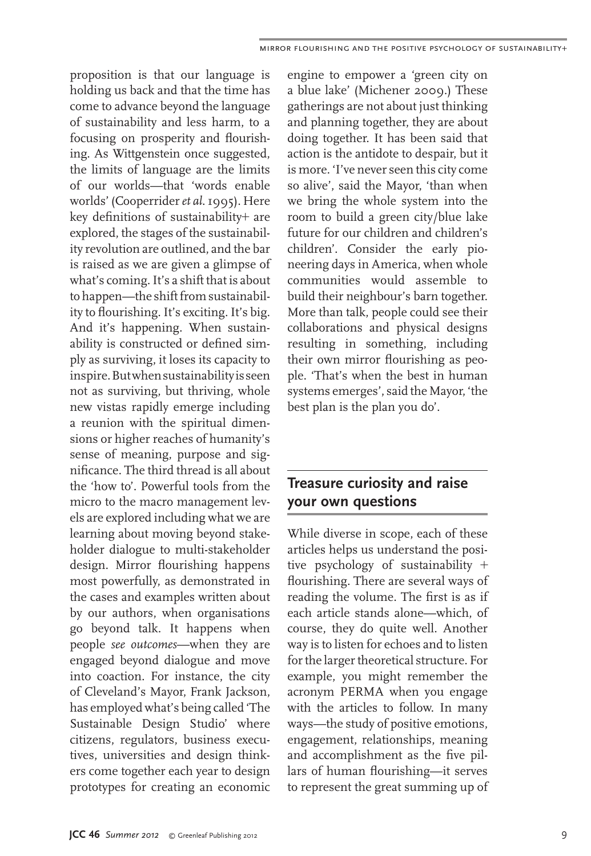proposition is that our language is holding us back and that the time has come to advance beyond the language of sustainability and less harm, to a focusing on prosperity and flourishing. As Wittgenstein once suggested, the limits of language are the limits of our worlds—that 'words enable worlds' (Cooperrider *et al*. 1995). Here key definitions of sustainability+ are explored, the stages of the sustainability revolution are outlined, and the bar is raised as we are given a glimpse of what's coming. It's a shift that is about to happen—the shift from sustainability to flourishing. It's exciting. It's big. And it's happening. When sustainability is constructed or defined simply as surviving, it loses its capacity to inspire. But when sustainability is seen not as surviving, but thriving, whole new vistas rapidly emerge including a reunion with the spiritual dimensions or higher reaches of humanity's sense of meaning, purpose and significance. The third thread is all about the 'how to'. Powerful tools from the micro to the macro management levels are explored including what we are learning about moving beyond stakeholder dialogue to multi-stakeholder design. Mirror flourishing happens most powerfully, as demonstrated in the cases and examples written about by our authors, when organisations go beyond talk. It happens when people *see outcomes*—when they are engaged beyond dialogue and move into coaction. For instance, the city of Cleveland's Mayor, Frank Jackson, has employed what's being called 'The Sustainable Design Studio' where citizens, regulators, business executives, universities and design thinkers come together each year to design prototypes for creating an economic

engine to empower a 'green city on a blue lake' (Michener 2009.) These gatherings are not about just thinking and planning together, they are about doing together. It has been said that action is the antidote to despair, but it is more. 'I've never seen this city come so alive', said the Mayor, 'than when we bring the whole system into the room to build a green city/blue lake future for our children and children's children'. Consider the early pioneering days in America, when whole communities would assemble to build their neighbour's barn together. More than talk, people could see their collaborations and physical designs resulting in something, including their own mirror flourishing as people. 'That's when the best in human systems emerges', said the Mayor, 'the best plan is the plan you do'.

#### **Treasure curiosity and raise** *<u>your own questions</u>*

While diverse in scope, each of these articles helps us understand the positive psychology of sustainability  $+$ flourishing. There are several ways of reading the volume. The first is as if each article stands alone—which, of course, they do quite well. Another way is to listen for echoes and to listen for the larger theoretical structure. For example, you might remember the acronym PERMA when you engage with the articles to follow. In many ways—the study of positive emotions, engagement, relationships, meaning and accomplishment as the five pillars of human flourishing—it serves to represent the great summing up of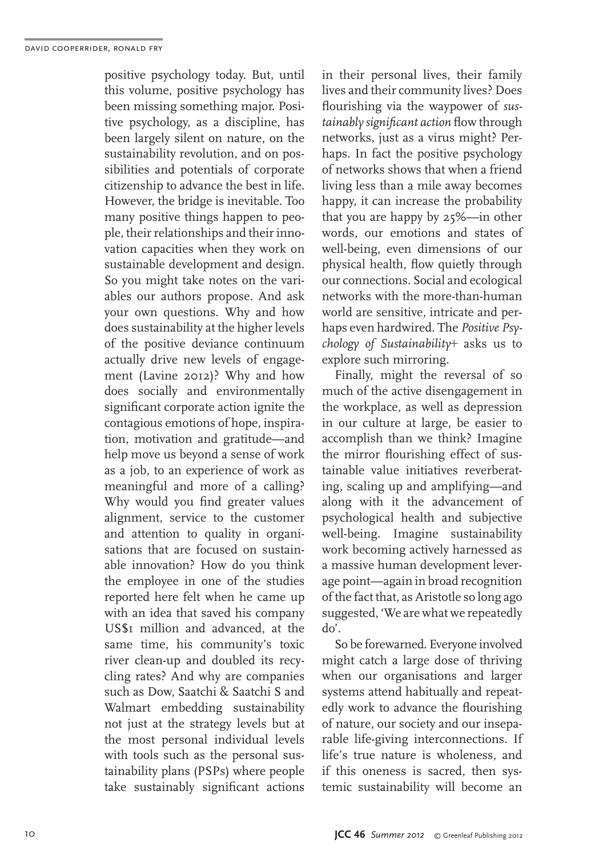positive psychology today. But, until this volume, positive psychology has been missing something major. Positive psychology, as a discipline, has been largely silent on nature, on the sustainability revolution, and on possibilities and potentials of corporate citizenship to advance the best in life. However, the bridge is inevitable. Too many positive things happen to people, their relationships and their innovation capacities when they work on sustainable development and design. So you might take notes on the variables our authors propose. And ask your own questions. Why and how does sustainability at the higher levels of the positive deviance continuum actually drive new levels of engagement (Lavine 2012)? Why and how does socially and environmentally significant corporate action ignite the contagious emotions of hope, inspiration, motivation and gratitude—and help move us beyond a sense of work as a job, to an experience of work as meaningful and more of a calling? Why would you find greater values alignment, service to the customer and attention to quality in organisations that are focused on sustainable innovation? How do you think the employee in one of the studies reported here felt when he came up with an idea that saved his company US\$1 million and advanced, at the same time, his community's toxic river clean-up and doubled its recycling rates? And why are companies such as Dow, Saatchi & Saatchi S and Walmart embedding sustainability not just at the strategy levels but at the most personal individual levels with tools such as the personal sustainability plans (PSPs) where people take sustainably significant actions

in their personal lives, their family lives and their community lives? Does flourishing via the waypower of *sustainably significant action* flow through networks, just as a virus might? Perhaps. In fact the positive psychology of networks shows that when a friend living less than a mile away becomes happy, it can increase the probability that you are happy by 25%—in other words, our emotions and states of well-being, even dimensions of our physical health, flow quietly through our connections. Social and ecological networks with the more-than-human world are sensitive, intricate and perhaps even hardwired. The *Positive Psychology of Sustainability*! asks us to explore such mirroring.

Finally, might the reversal of so much of the active disengagement in the workplace, as well as depression in our culture at large, be easier to accomplish than we think? Imagine the mirror flourishing effect of sustainable value initiatives reverberating, scaling up and amplifying—and along with it the advancement of psychological health and subjective well-being. Imagine sustainability work becoming actively harnessed as a massive human development leverage point—again in broad recognition of the fact that, as Aristotle so long ago suggested, 'We are what we repeatedly do'.

So be forewarned. Everyone involved might catch a large dose of thriving when our organisations and larger systems attend habitually and repeatedly work to advance the flourishing of nature, our society and our inseparable life-giving interconnections. If life's true nature is wholeness, and if this oneness is sacred, then systemic sustainability will become an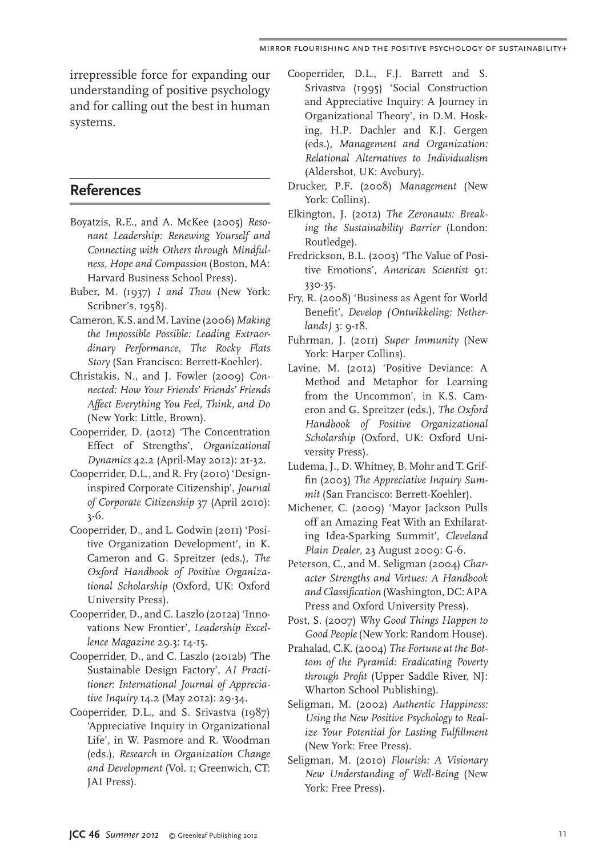irrepressible force for expanding our understanding of positive psychology and for calling out the best in human systems.

#### **References**

- Boyatzis, R.E., and A. McKee (2005) *Resonant Leadership: Renewing Yourself and Connecting with Others through Mindfulness, Hope and Compassion* (Boston, MA: Harvard Business School Press).
- Buber, M. (1937) *I and Thou* (New York: Scribner's, 1958).
- Cameron, K.S. and M. Lavine (2006) *Making the Impossible Possible: Leading Extraordinary Performance, The Rocky Flats Story* (San Francisco: Berrett-Koehler).
- Christakis, N., and J. Fowler (2009) *Connected: How Your Friends' Friends' Friends Affect Everything You Feel, Think, and Do* (New York: Little, Brown).
- Cooperrider, D. (2012) 'The Concentration Effect of Strengths', *Organizational Dynamics* 42.2 (April-May 2012): 21-32.
- Cooperrider, D.L., and R. Fry (2010) 'Designinspired Corporate Citizenship', *Journal of Corporate Citizenship* 37 (April 2010): 3-6.
- Cooperrider, D., and L. Godwin (2011) 'Positive Organization Development', in K. Cameron and G. Spreitzer (eds.), *The Oxford Handbook of Positive Organizational Scholarship* (Oxford, UK: Oxford University Press).
- Cooperrider, D., and C. Laszlo (2012a) 'Innovations New Frontier', *Leadership Excellence Magazine* 29.3: 14-15.
- Cooperrider, D., and C. Laszlo (2012b) 'The Sustainable Design Factory', *AI Practitioner: International Journal of Appreciative Inquiry* 14.2 (May 2012): 29-34.
- Cooperrider, D.L., and S. Srivastva (1987) 'Appreciative Inquiry in Organizational Life', in W. Pasmore and R. Woodman (eds.), *Research in Organization Change and Development* (Vol. 1; Greenwich, CT: JAI Press).
- Cooperrider, D.L., F.J. Barrett and S. Srivastva (1995) 'Social Construction and Appreciative Inquiry: A Journey in Organizational Theory', in D.M. Hosking, H.P. Dachler and K.J. Gergen (eds.), *Management and Organization: Relational Alternatives to Individualism*  (Aldershot, UK: Avebury).
- Drucker, P.F. (2008) *Management* (New York: Collins).
- Elkington, J. (2012) *The Zeronauts: Breaking the Sustainability Barrier* (London: Routledge).
- Fredrickson, B.L. (2003) 'The Value of Positive Emotions', American Scientist 91: 330-35.
- Fry, R. (2008) 'Business as Agent for World Benefit', *Develop (Ontwikkeling: Netherlands)* 3: 9-18.
- Fuhrman, J. (2011) *Super Immunity* (New York: Harper Collins).
- Lavine, M. (2012) 'Positive Deviance: A Method and Metaphor for Learning from the Uncommon', in K.S. Cameron and G. Spreitzer (eds.), *The Oxford Handbook of Positive Organizational Scholarship* (Oxford, UK: Oxford University Press).
- Ludema, J., D. Whitney, B. Mohr and T. Griffin (2003) *The Appreciative Inquiry Summit* (San Francisco: Berrett-Koehler).
- Michener, C. (2009) 'Mayor Jackson Pulls off an Amazing Feat With an Exhilarating Idea-Sparking Summit', *Cleveland Plain Dealer*, 23 August 2009: G-6.
- Peterson, C., and M. Seligman (2004) *Character Strengths and Virtues: A Handbook and Classification* (Washington, DC: APA Press and Oxford University Press).
- Post, S. (2007) *Why Good Things Happen to Good People* (New York: Random House).
- Prahalad, C.K. (2004) *The Fortune at the Bottom of the Pyramid: Eradicating Poverty through Profit* (Upper Saddle River, NJ: Wharton School Publishing).
- Seligman, M. (2002) *Authentic Happiness: Using the New Positive Psychology to Realize Your Potential for Lasting Fulfillment* (New York: Free Press).
- Seligman, M. (2010) *Flourish: A Visionary New Understanding of Well-Being* (New York: Free Press).